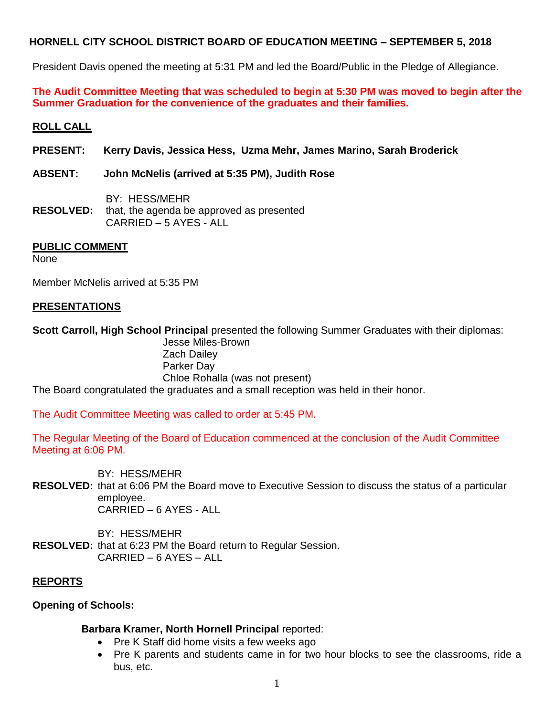President Davis opened the meeting at 5:31 PM and led the Board/Public in the Pledge of Allegiance.

**The Audit Committee Meeting that was scheduled to begin at 5:30 PM was moved to begin after the Summer Graduation for the convenience of the graduates and their families.**

## **ROLL CALL**

**PRESENT: Kerry Davis, Jessica Hess, Uzma Mehr, James Marino, Sarah Broderick**

### **ABSENT: John McNelis (arrived at 5:35 PM), Judith Rose**

BY: HESS/MEHR **RESOLVED:** that, the agenda be approved as presented CARRIED – 5 AYES - ALL

#### **PUBLIC COMMENT**

None

Member McNelis arrived at 5:35 PM

### **PRESENTATIONS**

**Scott Carroll, High School Principal** presented the following Summer Graduates with their diplomas: Jesse Miles-Brown

Zach Dailey Parker Day Chloe Rohalla (was not present) The Board congratulated the graduates and a small reception was held in their honor.

The Audit Committee Meeting was called to order at 5:45 PM.

The Regular Meeting of the Board of Education commenced at the conclusion of the Audit Committee Meeting at 6:06 PM.

BY: HESS/MEHR

**RESOLVED:** that at 6:06 PM the Board move to Executive Session to discuss the status of a particular employee. CARRIED – 6 AYES - ALL

BY: HESS/MEHR **RESOLVED:** that at 6:23 PM the Board return to Regular Session. CARRIED – 6 AYES – ALL

## **REPORTS**

## **Opening of Schools:**

## **Barbara Kramer, North Hornell Principal** reported:

- Pre K Staff did home visits a few weeks ago
- Pre K parents and students came in for two hour blocks to see the classrooms, ride a bus, etc.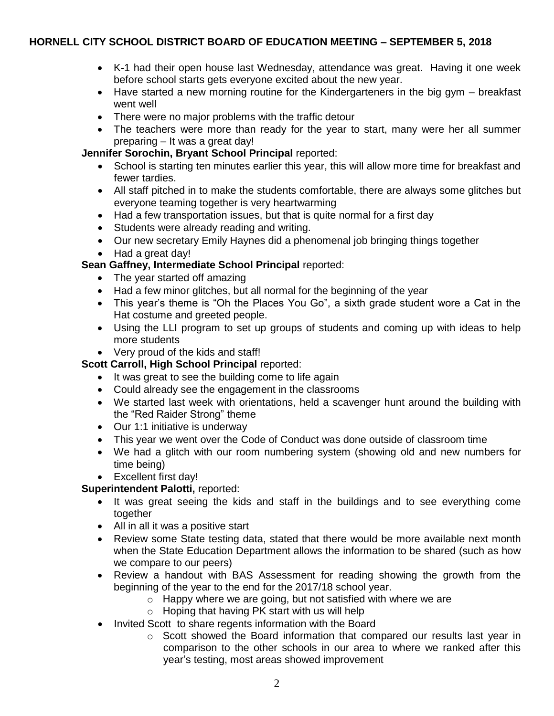- K-1 had their open house last Wednesday, attendance was great. Having it one week before school starts gets everyone excited about the new year.
- Have started a new morning routine for the Kindergarteners in the big gym breakfast went well
- There were no major problems with the traffic detour
- The teachers were more than ready for the year to start, many were her all summer preparing – It was a great day!

## **Jennifer Sorochin, Bryant School Principal** reported:

- School is starting ten minutes earlier this year, this will allow more time for breakfast and fewer tardies.
- All staff pitched in to make the students comfortable, there are always some glitches but everyone teaming together is very heartwarming
- Had a few transportation issues, but that is quite normal for a first day
- Students were already reading and writing.
- Our new secretary Emily Haynes did a phenomenal job bringing things together
- Had a great day!

## **Sean Gaffney, Intermediate School Principal** reported:

- The year started off amazing
- Had a few minor glitches, but all normal for the beginning of the year
- This year's theme is "Oh the Places You Go", a sixth grade student wore a Cat in the Hat costume and greeted people.
- Using the LLI program to set up groups of students and coming up with ideas to help more students
- Very proud of the kids and staff!

# **Scott Carroll, High School Principal** reported:

- It was great to see the building come to life again
- Could already see the engagement in the classrooms
- We started last week with orientations, held a scavenger hunt around the building with the "Red Raider Strong" theme
- Our 1:1 initiative is underway
- This year we went over the Code of Conduct was done outside of classroom time
- We had a glitch with our room numbering system (showing old and new numbers for time being)
- Excellent first day!

# **Superintendent Palotti,** reported:

- It was great seeing the kids and staff in the buildings and to see everything come together
- All in all it was a positive start
- Review some State testing data, stated that there would be more available next month when the State Education Department allows the information to be shared (such as how we compare to our peers)
- Review a handout with BAS Assessment for reading showing the growth from the beginning of the year to the end for the 2017/18 school year.
	- o Happy where we are going, but not satisfied with where we are
	- o Hoping that having PK start with us will help
- Invited Scott to share regents information with the Board
	- o Scott showed the Board information that compared our results last year in comparison to the other schools in our area to where we ranked after this year's testing, most areas showed improvement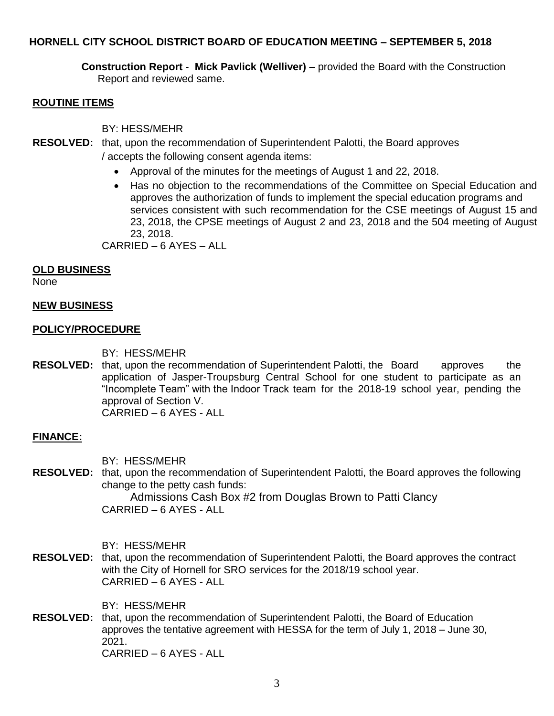**Construction Report - Mick Pavlick (Welliver) –** provided the Board with the Construction Report and reviewed same.

#### **ROUTINE ITEMS**

BY: HESS/MEHR

- **RESOLVED:** that, upon the recommendation of Superintendent Palotti, the Board approves / accepts the following consent agenda items:
	- Approval of the minutes for the meetings of August 1 and 22, 2018.
	- Has no objection to the recommendations of the Committee on Special Education and approves the authorization of funds to implement the special education programs and services consistent with such recommendation for the CSE meetings of August 15 and 23, 2018, the CPSE meetings of August 2 and 23, 2018 and the 504 meeting of August 23, 2018.

CARRIED – 6 AYES – ALL

#### **OLD BUSINESS**

None

#### **NEW BUSINESS**

#### **POLICY/PROCEDURE**

BY: HESS/MEHR

**RESOLVED:** that, upon the recommendation of Superintendent Palotti, the Board approves the application of Jasper-Troupsburg Central School for one student to participate as an "Incomplete Team" with the Indoor Track team for the 2018-19 school year, pending the approval of Section V. CARRIED – 6 AYES - ALL

#### **FINANCE:**

BY: HESS/MEHR

**RESOLVED:** that, upon the recommendation of Superintendent Palotti, the Board approves the following change to the petty cash funds:

Admissions Cash Box #2 from Douglas Brown to Patti Clancy CARRIED – 6 AYES - ALL

BY: HESS/MEHR

**RESOLVED:** that, upon the recommendation of Superintendent Palotti, the Board approves the contract with the City of Hornell for SRO services for the 2018/19 school year. CARRIED – 6 AYES - ALL

BY: HESS/MEHR

**RESOLVED:** that, upon the recommendation of Superintendent Palotti, the Board of Education approves the tentative agreement with HESSA for the term of July 1, 2018 – June 30, 2021. CARRIED – 6 AYES - ALL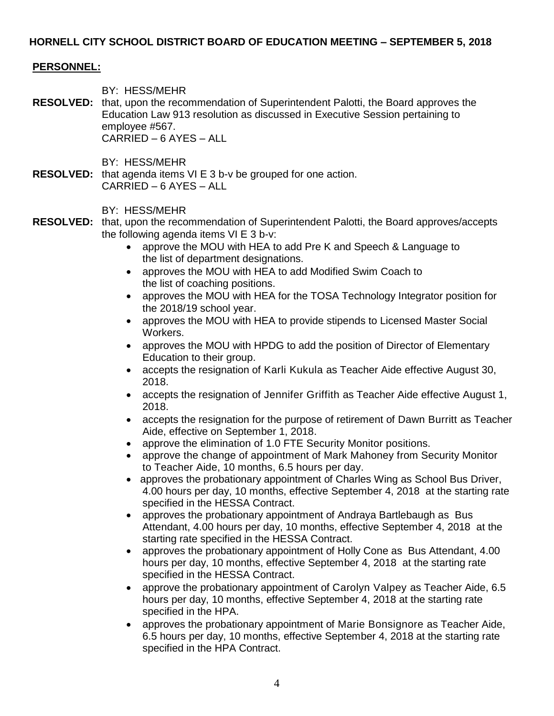#### **PERSONNEL:**

BY: HESS/MEHR

**RESOLVED:** that, upon the recommendation of Superintendent Palotti, the Board approves the Education Law 913 resolution as discussed in Executive Session pertaining to employee #567. CARRIED – 6 AYES – ALL

BY: HESS/MEHR

**RESOLVED:** that agenda items VI E 3 b-v be grouped for one action. CARRIED – 6 AYES – ALL

BY: HESS/MEHR

- **RESOLVED:** that, upon the recommendation of Superintendent Palotti, the Board approves/accepts the following agenda items VI E 3 b-v:
	- approve the MOU with HEA to add Pre K and Speech & Language to the list of department designations.
	- approves the MOU with HEA to add Modified Swim Coach to the list of coaching positions.
	- approves the MOU with HEA for the TOSA Technology Integrator position for the 2018/19 school year.
	- approves the MOU with HEA to provide stipends to Licensed Master Social Workers.
	- approves the MOU with HPDG to add the position of Director of Elementary Education to their group.
	- accepts the resignation of Karli Kukula as Teacher Aide effective August 30, 2018.
	- accepts the resignation of Jennifer Griffith as Teacher Aide effective August 1, 2018.
	- accepts the resignation for the purpose of retirement of Dawn Burritt as Teacher Aide, effective on September 1, 2018.
	- approve the elimination of 1.0 FTE Security Monitor positions.
	- approve the change of appointment of Mark Mahoney from Security Monitor to Teacher Aide, 10 months, 6.5 hours per day.
	- approves the probationary appointment of Charles Wing as School Bus Driver, 4.00 hours per day, 10 months, effective September 4, 2018 at the starting rate specified in the HESSA Contract.
	- approves the probationary appointment of Andraya Bartlebaugh as Bus Attendant, 4.00 hours per day, 10 months, effective September 4, 2018 at the starting rate specified in the HESSA Contract.
	- approves the probationary appointment of Holly Cone as Bus Attendant, 4.00 hours per day, 10 months, effective September 4, 2018 at the starting rate specified in the HESSA Contract.
	- approve the probationary appointment of Carolyn Valpey as Teacher Aide, 6.5 hours per day, 10 months, effective September 4, 2018 at the starting rate specified in the HPA.
	- approves the probationary appointment of Marie Bonsignore as Teacher Aide, 6.5 hours per day, 10 months, effective September 4, 2018 at the starting rate specified in the HPA Contract.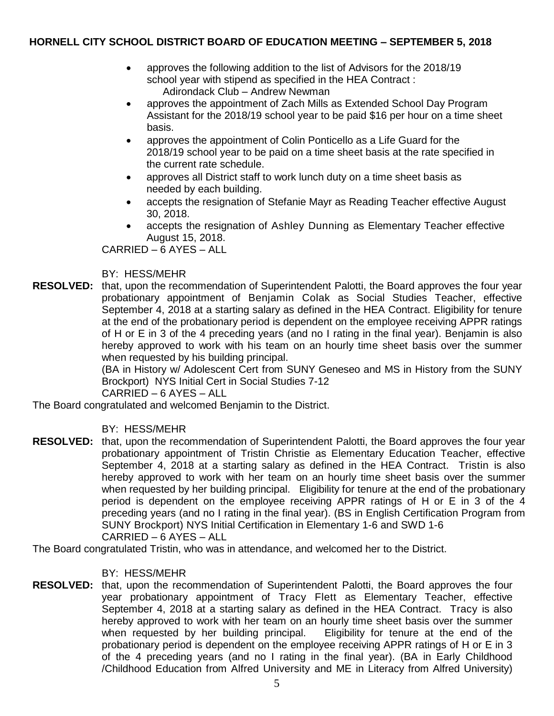- approves the following addition to the list of Advisors for the 2018/19 school year with stipend as specified in the HEA Contract : Adirondack Club – Andrew Newman
- approves the appointment of Zach Mills as Extended School Day Program Assistant for the 2018/19 school year to be paid \$16 per hour on a time sheet basis.
- approves the appointment of Colin Ponticello as a Life Guard for the 2018/19 school year to be paid on a time sheet basis at the rate specified in the current rate schedule.
- approves all District staff to work lunch duty on a time sheet basis as needed by each building.
- accepts the resignation of Stefanie Mayr as Reading Teacher effective August 30, 2018.
- accepts the resignation of Ashley Dunning as Elementary Teacher effective August 15, 2018.

CARRIED – 6 AYES – ALL

## BY: HESS/MEHR

**RESOLVED:** that, upon the recommendation of Superintendent Palotti, the Board approves the four year probationary appointment of Benjamin Colak as Social Studies Teacher, effective September 4, 2018 at a starting salary as defined in the HEA Contract. Eligibility for tenure at the end of the probationary period is dependent on the employee receiving APPR ratings of H or E in 3 of the 4 preceding years (and no I rating in the final year). Benjamin is also hereby approved to work with his team on an hourly time sheet basis over the summer when requested by his building principal.

(BA in History w/ Adolescent Cert from SUNY Geneseo and MS in History from the SUNY Brockport) NYS Initial Cert in Social Studies 7-12

CARRIED – 6 AYES – ALL

The Board congratulated and welcomed Benjamin to the District.

## BY: HESS/MEHR

**RESOLVED:** that, upon the recommendation of Superintendent Palotti, the Board approves the four year probationary appointment of Tristin Christie as Elementary Education Teacher, effective September 4, 2018 at a starting salary as defined in the HEA Contract. Tristin is also hereby approved to work with her team on an hourly time sheet basis over the summer when requested by her building principal. Eligibility for tenure at the end of the probationary period is dependent on the employee receiving APPR ratings of H or E in 3 of the 4 preceding years (and no I rating in the final year). (BS in English Certification Program from SUNY Brockport) NYS Initial Certification in Elementary 1-6 and SWD 1-6 CARRIED – 6 AYES – ALL

The Board congratulated Tristin, who was in attendance, and welcomed her to the District.

#### BY: HESS/MEHR

**RESOLVED:** that, upon the recommendation of Superintendent Palotti, the Board approves the four year probationary appointment of Tracy Flett as Elementary Teacher, effective September 4, 2018 at a starting salary as defined in the HEA Contract. Tracy is also hereby approved to work with her team on an hourly time sheet basis over the summer when requested by her building principal. Eligibility for tenure at the end of the probationary period is dependent on the employee receiving APPR ratings of H or E in 3 of the 4 preceding years (and no I rating in the final year). (BA in Early Childhood /Childhood Education from Alfred University and ME in Literacy from Alfred University)